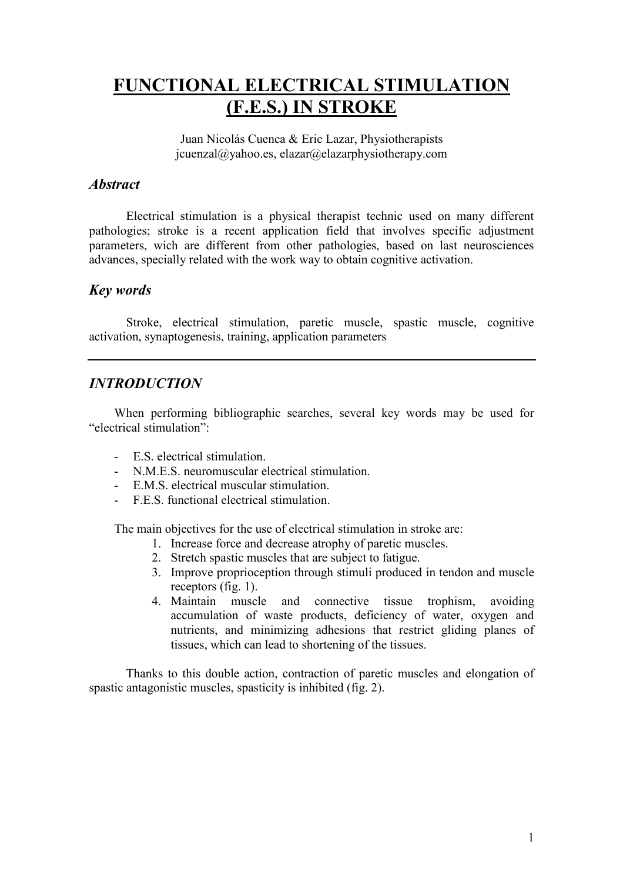# FUNCTIONAL ELECTRICAL STIMULATION (F.E.S.) IN STROKE

Juan Nicolás Cuenca & Eric Lazar, Physiotherapists jcuenzal@yahoo.es, elazar@elazarphysiotherapy.com

## **Abstract**

Electrical stimulation is a physical therapist technic used on many different pathologies; stroke is a recent application field that involves specific adjustment parameters, wich are different from other pathologies, based on last neurosciences advances, specially related with the work way to obtain cognitive activation.

## Key words

Stroke, electrical stimulation, paretic muscle, spastic muscle, cognitive activation, synaptogenesis, training, application parameters

## INTRODUCTION

When performing bibliographic searches, several key words may be used for "electrical stimulation":

- E.S. electrical stimulation.
- N.M.E.S. neuromuscular electrical stimulation.
- E.M.S. electrical muscular stimulation.
- F.E.S. functional electrical stimulation.

The main objectives for the use of electrical stimulation in stroke are:

- 1. Increase force and decrease atrophy of paretic muscles.
- 2. Stretch spastic muscles that are subject to fatigue.
- 3. Improve proprioception through stimuli produced in tendon and muscle receptors (fig. 1).
- 4. Maintain muscle and connective tissue trophism, avoiding accumulation of waste products, deficiency of water, oxygen and nutrients, and minimizing adhesions that restrict gliding planes of tissues, which can lead to shortening of the tissues.

Thanks to this double action, contraction of paretic muscles and elongation of spastic antagonistic muscles, spasticity is inhibited (fig. 2).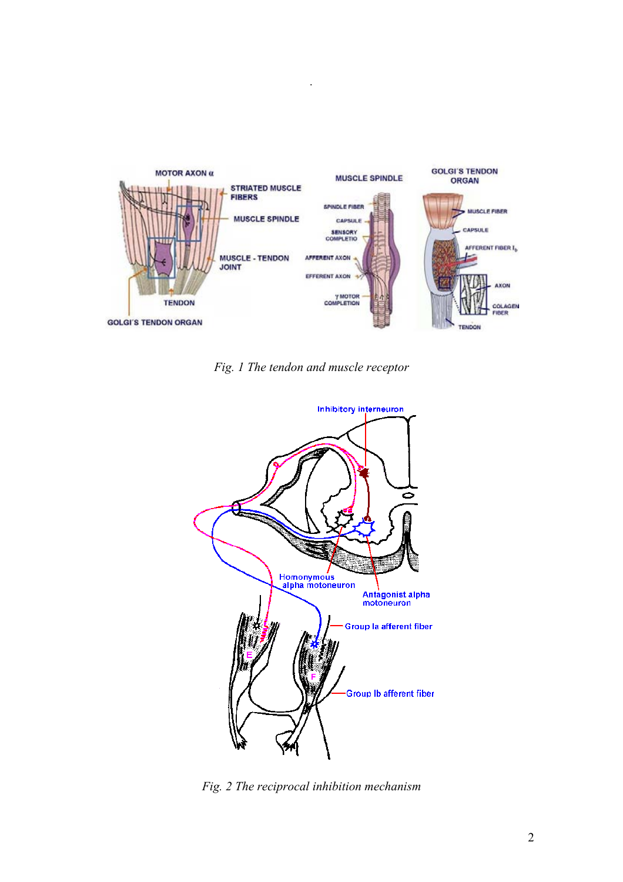

.

Fig. 1 The tendon and muscle receptor



Fig. 2 The reciprocal inhibition mechanism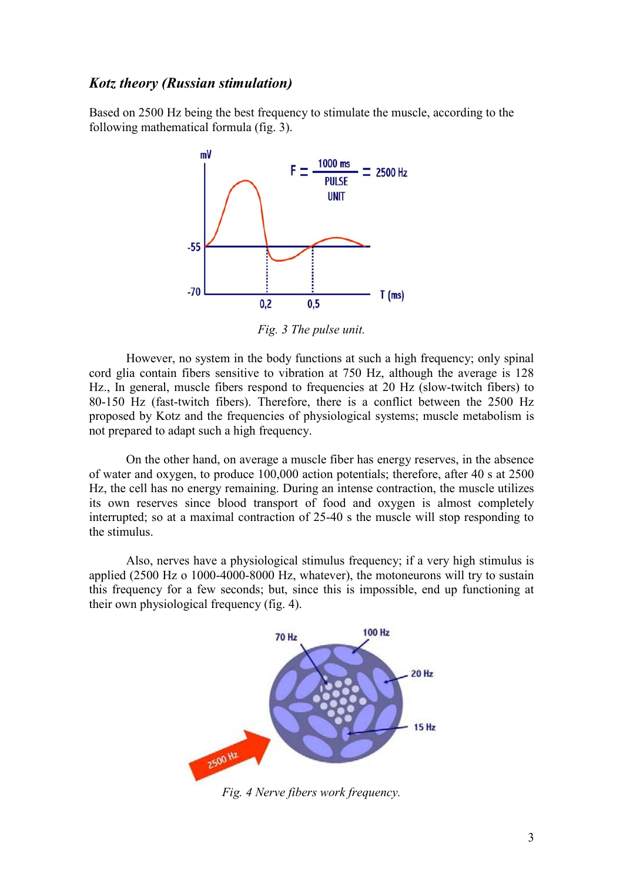#### Kotz theory (Russian stimulation)

Based on 2500 Hz being the best frequency to stimulate the muscle, according to the following mathematical formula (fig. 3).



Fig. 3 The pulse unit.

However, no system in the body functions at such a high frequency; only spinal cord glia contain fibers sensitive to vibration at 750 Hz, although the average is 128 Hz., In general, muscle fibers respond to frequencies at 20 Hz (slow-twitch fibers) to 80-150 Hz (fast-twitch fibers). Therefore, there is a conflict between the 2500 Hz proposed by Kotz and the frequencies of physiological systems; muscle metabolism is not prepared to adapt such a high frequency.

On the other hand, on average a muscle fiber has energy reserves, in the absence of water and oxygen, to produce 100,000 action potentials; therefore, after 40 s at 2500 Hz, the cell has no energy remaining. During an intense contraction, the muscle utilizes its own reserves since blood transport of food and oxygen is almost completely interrupted; so at a maximal contraction of 25-40 s the muscle will stop responding to the stimulus.

Also, nerves have a physiological stimulus frequency; if a very high stimulus is applied (2500 Hz o 1000-4000-8000 Hz, whatever), the motoneurons will try to sustain this frequency for a few seconds; but, since this is impossible, end up functioning at their own physiological frequency (fig. 4).



Fig. 4 Nerve fibers work frequency.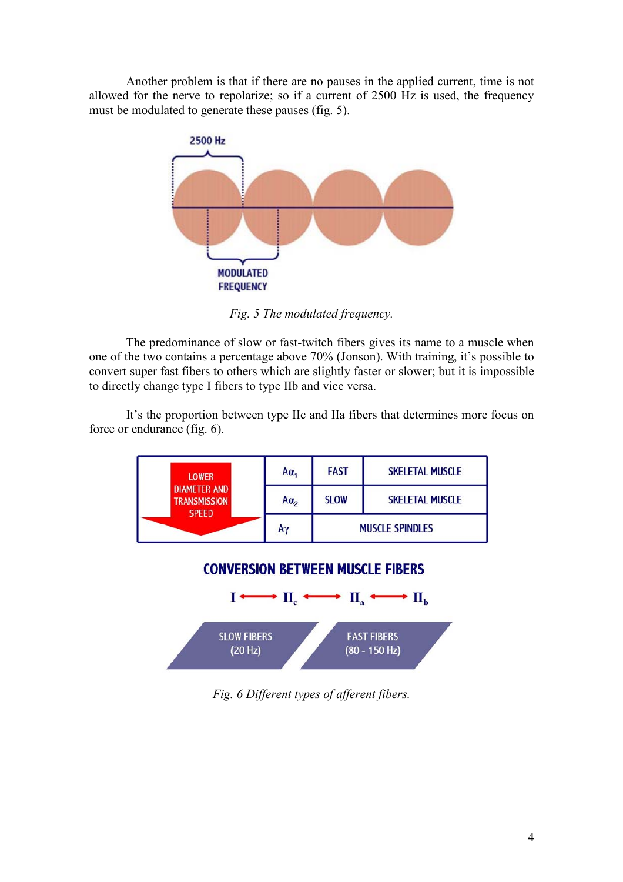Another problem is that if there are no pauses in the applied current, time is not allowed for the nerve to repolarize; so if a current of 2500 Hz is used, the frequency must be modulated to generate these pauses (fig. 5).



Fig. 5 The modulated frequency.

The predominance of slow or fast-twitch fibers gives its name to a muscle when one of the two contains a percentage above 70% (Jonson). With training, it's possible to convert super fast fibers to others which are slightly faster or slower; but it is impossible to directly change type I fibers to type IIb and vice versa.

It's the proportion between type IIc and IIa fibers that determines more focus on force or endurance (fig. 6).







Fig. 6 Different types of afferent fibers.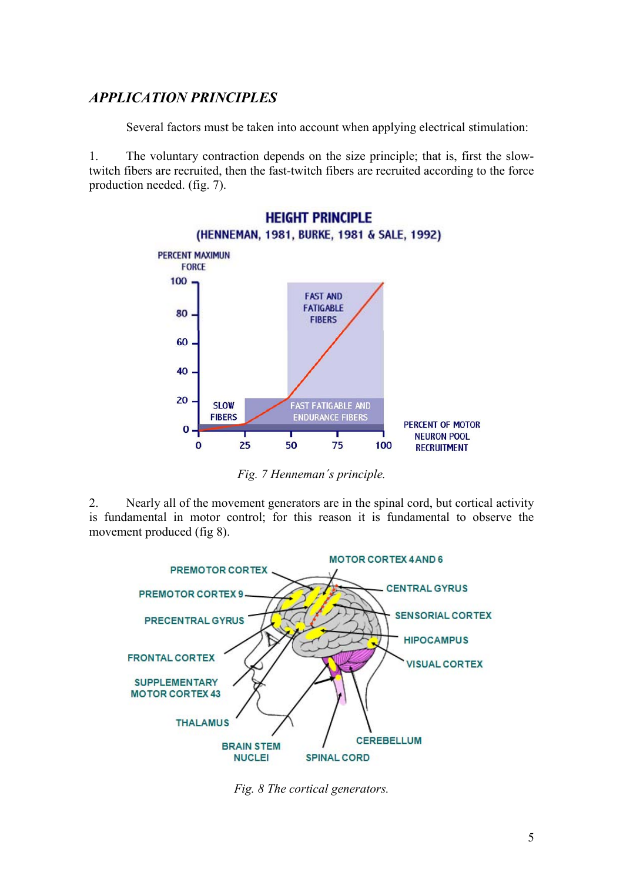# APPLICATION PRINCIPLES

Several factors must be taken into account when applying electrical stimulation:

1. The voluntary contraction depends on the size principle; that is, first the slowtwitch fibers are recruited, then the fast-twitch fibers are recruited according to the force production needed. (fig. 7).



Fig. 7 Henneman´s principle.

2. Nearly all of the movement generators are in the spinal cord, but cortical activity is fundamental in motor control; for this reason it is fundamental to observe the movement produced (fig 8).



Fig. 8 The cortical generators.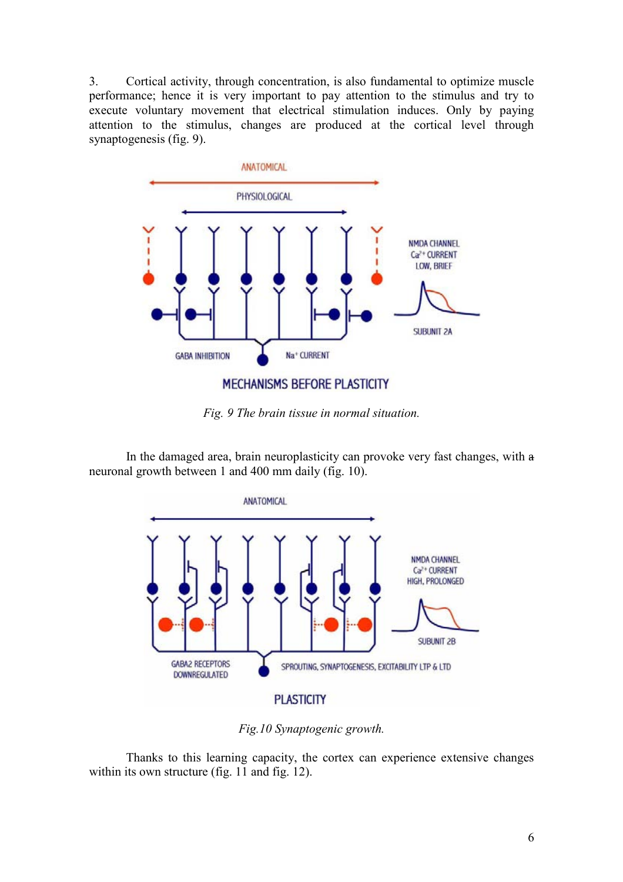3. Cortical activity, through concentration, is also fundamental to optimize muscle performance; hence it is very important to pay attention to the stimulus and try to execute voluntary movement that electrical stimulation induces. Only by paying attention to the stimulus, changes are produced at the cortical level through synaptogenesis (fig. 9).



Fig. 9 The brain tissue in normal situation.

In the damaged area, brain neuroplasticity can provoke very fast changes, with a neuronal growth between 1 and 400 mm daily (fig. 10).



Fig.10 Synaptogenic growth.

Thanks to this learning capacity, the cortex can experience extensive changes within its own structure (fig. 11 and fig. 12).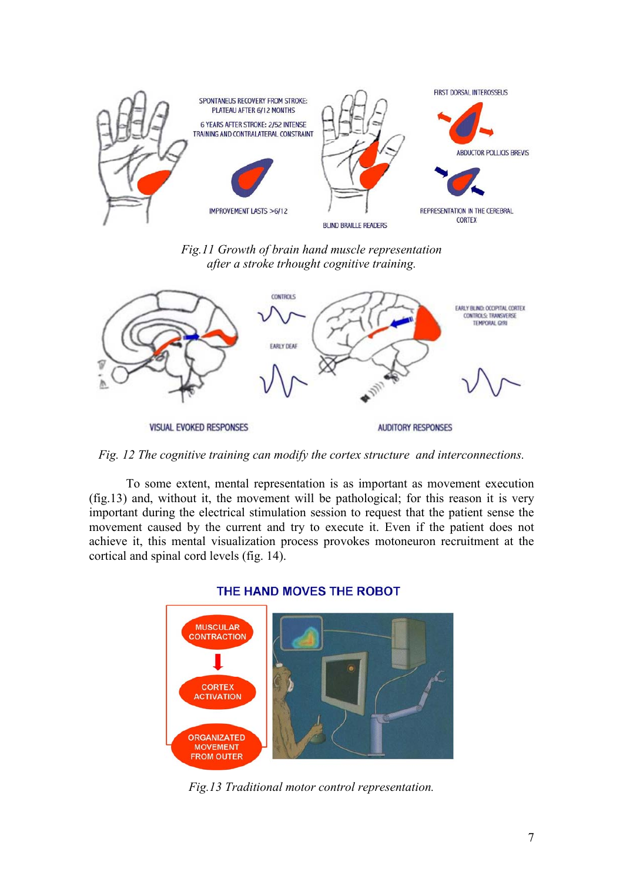

Fig.11 Growth of brain hand muscle representation after a stroke trhought cognitive training.



Fig. 12 The cognitive training can modify the cortex structure and interconnections.

To some extent, mental representation is as important as movement execution (fig.13) and, without it, the movement will be pathological; for this reason it is very important during the electrical stimulation session to request that the patient sense the movement caused by the current and try to execute it. Even if the patient does not achieve it, this mental visualization process provokes motoneuron recruitment at the cortical and spinal cord levels (fig. 14).



#### THE HAND MOVES THE ROBOT

Fig.13 Traditional motor control representation.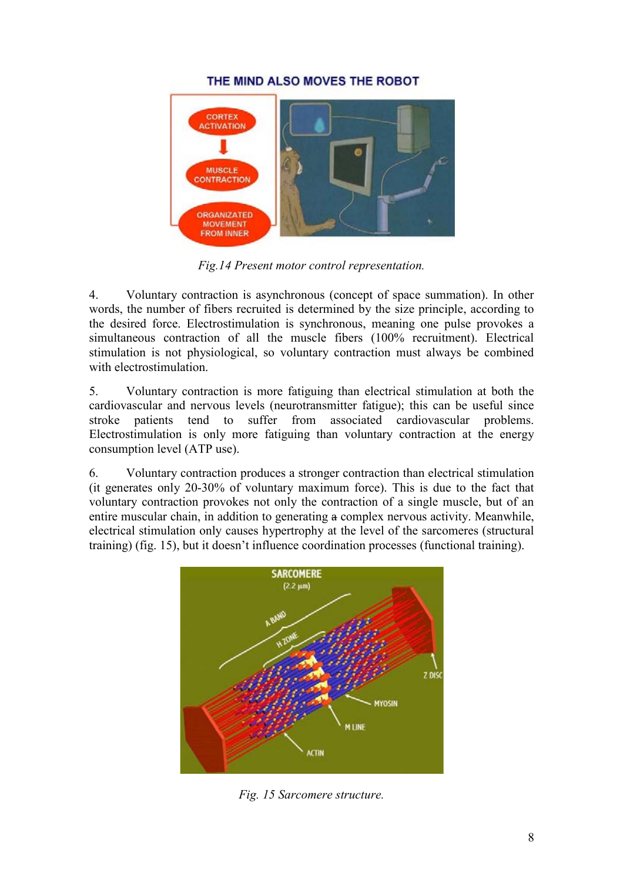#### THE MIND ALSO MOVES THE ROBOT



Fig.14 Present motor control representation.

4. Voluntary contraction is asynchronous (concept of space summation). In other words, the number of fibers recruited is determined by the size principle, according to the desired force. Electrostimulation is synchronous, meaning one pulse provokes a simultaneous contraction of all the muscle fibers (100% recruitment). Electrical stimulation is not physiological, so voluntary contraction must always be combined with electrostimulation.

5. Voluntary contraction is more fatiguing than electrical stimulation at both the cardiovascular and nervous levels (neurotransmitter fatigue); this can be useful since stroke patients tend to suffer from associated cardiovascular problems. Electrostimulation is only more fatiguing than voluntary contraction at the energy consumption level (ATP use).

6. Voluntary contraction produces a stronger contraction than electrical stimulation (it generates only 20-30% of voluntary maximum force). This is due to the fact that voluntary contraction provokes not only the contraction of a single muscle, but of an entire muscular chain, in addition to generating a complex nervous activity. Meanwhile, electrical stimulation only causes hypertrophy at the level of the sarcomeres (structural training) (fig. 15), but it doesn't influence coordination processes (functional training).



Fig. 15 Sarcomere structure.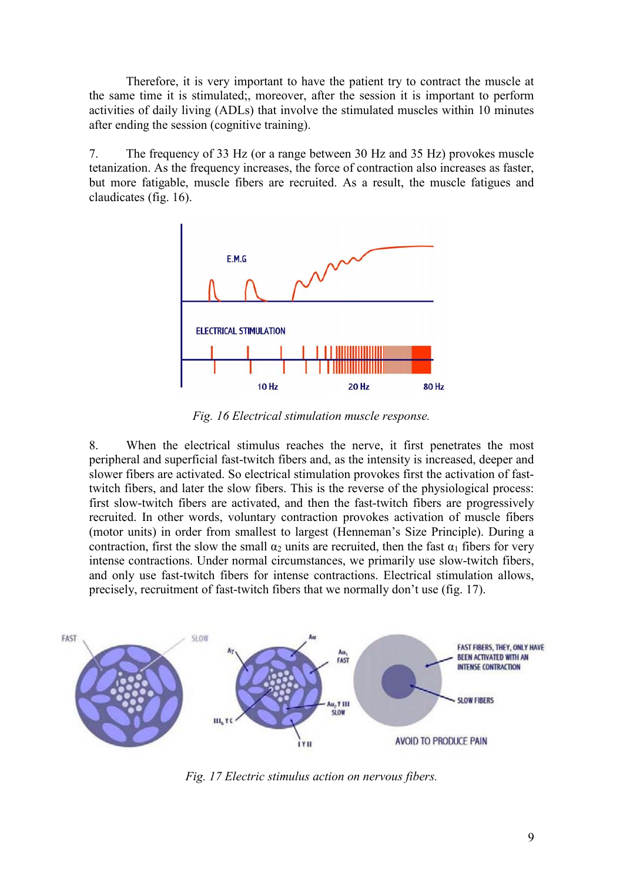Therefore, it is very important to have the patient try to contract the muscle at the same time it is stimulated;, moreover, after the session it is important to perform activities of daily living (ADLs) that involve the stimulated muscles within 10 minutes after ending the session (cognitive training).

7. The frequency of 33 Hz (or a range between 30 Hz and 35 Hz) provokes muscle tetanization. As the frequency increases, the force of contraction also increases as faster, but more fatigable, muscle fibers are recruited. As a result, the muscle fatigues and claudicates (fig. 16).



Fig. 16 Electrical stimulation muscle response.

8. When the electrical stimulus reaches the nerve, it first penetrates the most peripheral and superficial fast-twitch fibers and, as the intensity is increased, deeper and slower fibers are activated. So electrical stimulation provokes first the activation of fasttwitch fibers, and later the slow fibers. This is the reverse of the physiological process: first slow-twitch fibers are activated, and then the fast-twitch fibers are progressively recruited. In other words, voluntary contraction provokes activation of muscle fibers (motor units) in order from smallest to largest (Henneman's Size Principle). During a contraction, first the slow the small  $\alpha_2$  units are recruited, then the fast  $\alpha_1$  fibers for very intense contractions. Under normal circumstances, we primarily use slow-twitch fibers, and only use fast-twitch fibers for intense contractions. Electrical stimulation allows, precisely, recruitment of fast-twitch fibers that we normally don't use (fig. 17).



Fig. 17 Electric stimulus action on nervous fibers.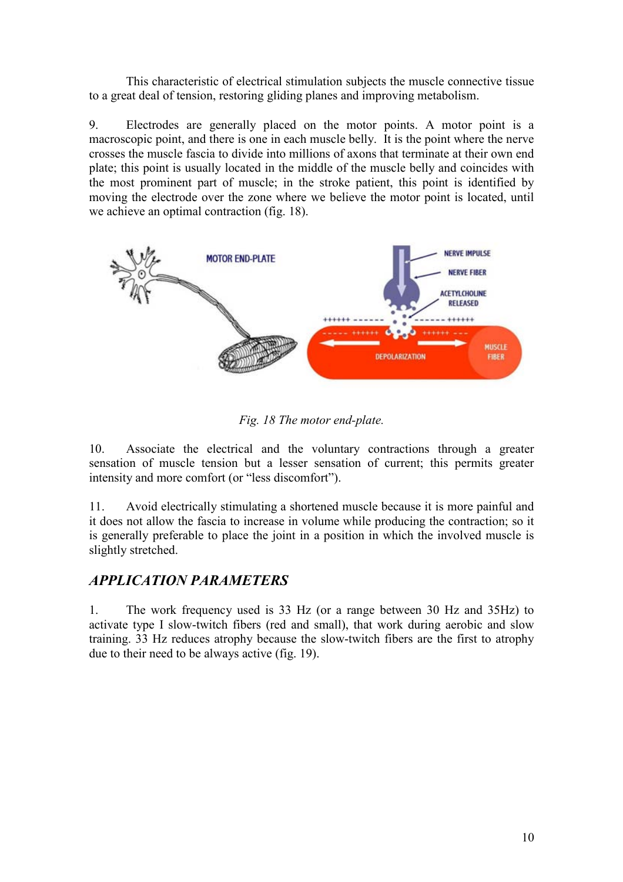This characteristic of electrical stimulation subjects the muscle connective tissue to a great deal of tension, restoring gliding planes and improving metabolism.

9. Electrodes are generally placed on the motor points. A motor point is a macroscopic point, and there is one in each muscle belly. It is the point where the nerve crosses the muscle fascia to divide into millions of axons that terminate at their own end plate; this point is usually located in the middle of the muscle belly and coincides with the most prominent part of muscle; in the stroke patient, this point is identified by moving the electrode over the zone where we believe the motor point is located, until we achieve an optimal contraction (fig. 18).



Fig. 18 The motor end-plate.

10. Associate the electrical and the voluntary contractions through a greater sensation of muscle tension but a lesser sensation of current; this permits greater intensity and more comfort (or "less discomfort").

11. Avoid electrically stimulating a shortened muscle because it is more painful and it does not allow the fascia to increase in volume while producing the contraction; so it is generally preferable to place the joint in a position in which the involved muscle is slightly stretched.

## APPLICATION PARAMETERS

1. The work frequency used is 33 Hz (or a range between 30 Hz and 35Hz) to activate type I slow-twitch fibers (red and small), that work during aerobic and slow training. 33 Hz reduces atrophy because the slow-twitch fibers are the first to atrophy due to their need to be always active (fig. 19).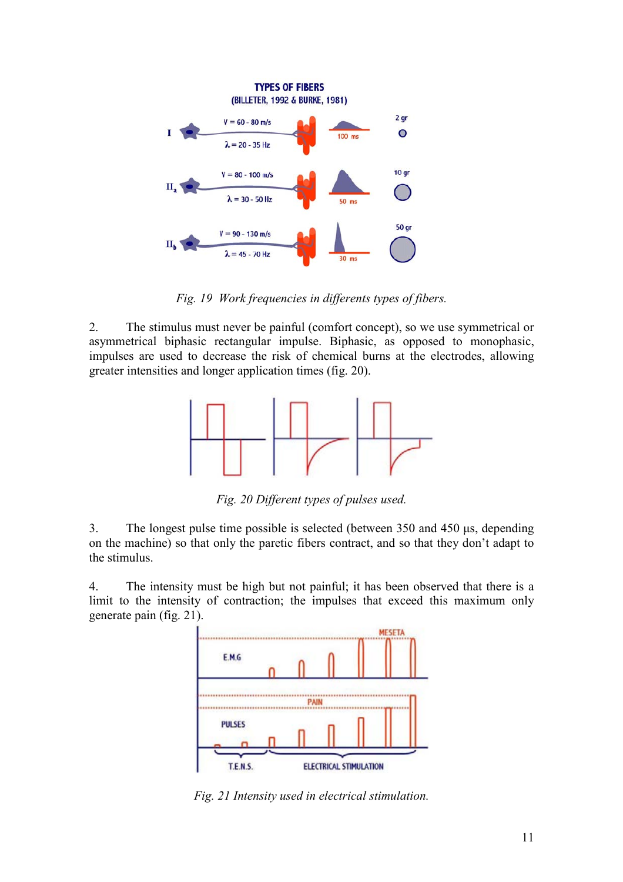

Fig. 19 Work frequencies in differents types of fibers.

2. The stimulus must never be painful (comfort concept), so we use symmetrical or asymmetrical biphasic rectangular impulse. Biphasic, as opposed to monophasic, impulses are used to decrease the risk of chemical burns at the electrodes, allowing greater intensities and longer application times (fig. 20).



Fig. 20 Different types of pulses used.

3. The longest pulse time possible is selected (between 350 and 450 µs, depending on the machine) so that only the paretic fibers contract, and so that they don't adapt to the stimulus.

4. The intensity must be high but not painful; it has been observed that there is a limit to the intensity of contraction; the impulses that exceed this maximum only generate pain (fig. 21).



Fig. 21 Intensity used in electrical stimulation.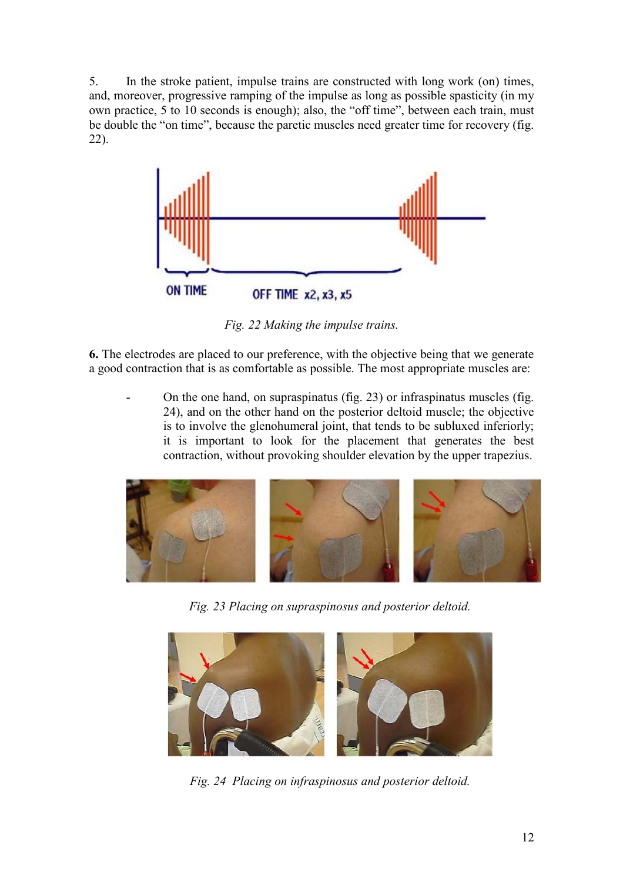5. In the stroke patient, impulse trains are constructed with long work (on) times, and, moreover, progressive ramping of the impulse as long as possible spasticity (in my own practice, 5 to 10 seconds is enough); also, the "off time", between each train, must be double the "on time", because the paretic muscles need greater time for recovery (fig. 22).



Fig. 22 Making the impulse trains.

6. The electrodes are placed to our preference, with the objective being that we generate a good contraction that is as comfortable as possible. The most appropriate muscles are:

- On the one hand, on supraspinatus (fig. 23) or infraspinatus muscles (fig. 24), and on the other hand on the posterior deltoid muscle; the objective is to involve the glenohumeral joint, that tends to be subluxed inferiorly; it is important to look for the placement that generates the best contraction, without provoking shoulder elevation by the upper trapezius.



Fig. 23 Placing on supraspinosus and posterior deltoid.



Fig. 24 Placing on infraspinosus and posterior deltoid.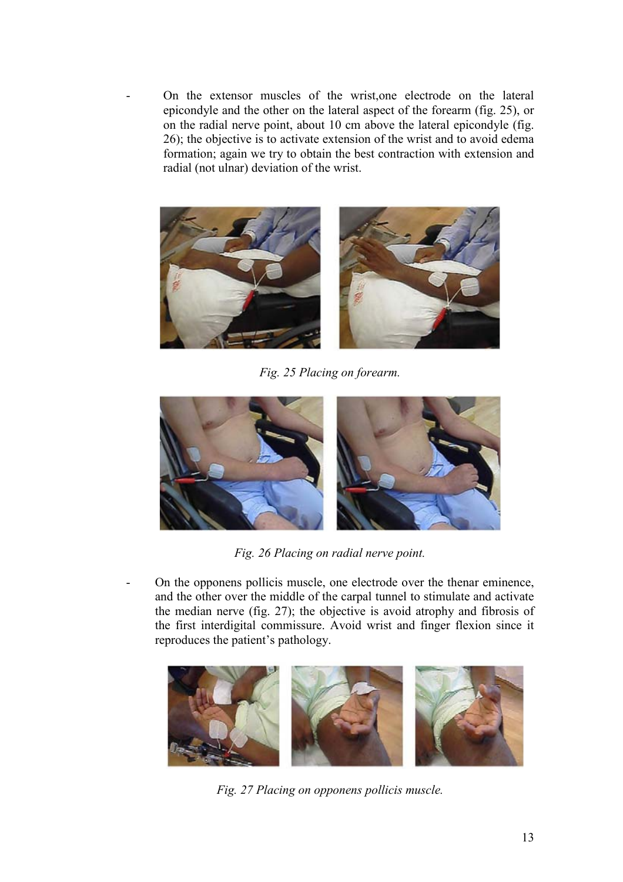- On the extensor muscles of the wrist,one electrode on the lateral epicondyle and the other on the lateral aspect of the forearm (fig. 25), or on the radial nerve point, about 10 cm above the lateral epicondyle (fig. 26); the objective is to activate extension of the wrist and to avoid edema formation; again we try to obtain the best contraction with extension and radial (not ulnar) deviation of the wrist.



Fig. 25 Placing on forearm.



Fig. 26 Placing on radial nerve point.

- On the opponens pollicis muscle, one electrode over the thenar eminence, and the other over the middle of the carpal tunnel to stimulate and activate the median nerve (fig. 27); the objective is avoid atrophy and fibrosis of the first interdigital commissure. Avoid wrist and finger flexion since it reproduces the patient's pathology.



Fig. 27 Placing on opponens pollicis muscle.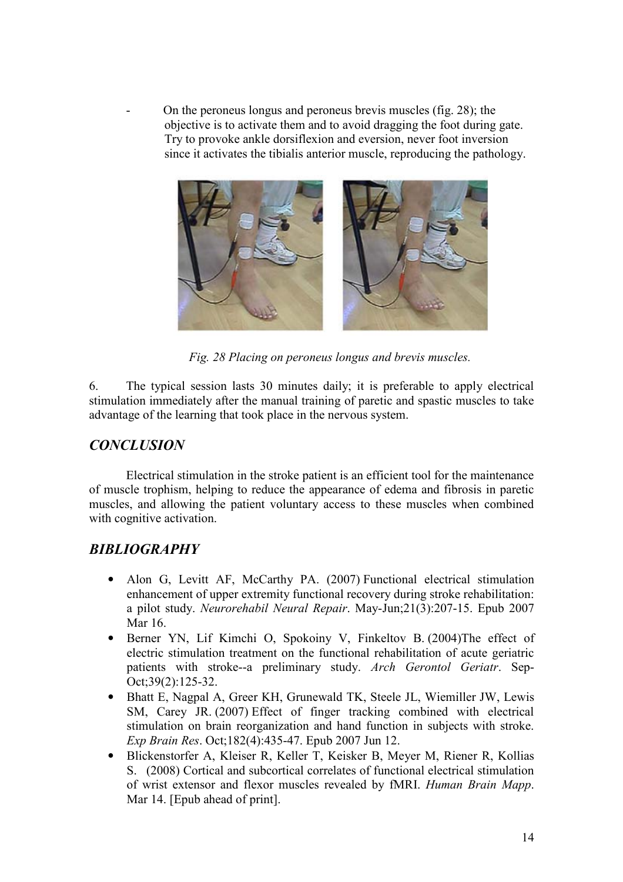- On the peroneus longus and peroneus brevis muscles (fig. 28); the objective is to activate them and to avoid dragging the foot during gate. Try to provoke ankle dorsiflexion and eversion, never foot inversion since it activates the tibialis anterior muscle, reproducing the pathology.



Fig. 28 Placing on peroneus longus and brevis muscles.

6. The typical session lasts 30 minutes daily; it is preferable to apply electrical stimulation immediately after the manual training of paretic and spastic muscles to take advantage of the learning that took place in the nervous system.

## **CONCLUSION**

Electrical stimulation in the stroke patient is an efficient tool for the maintenance of muscle trophism, helping to reduce the appearance of edema and fibrosis in paretic muscles, and allowing the patient voluntary access to these muscles when combined with cognitive activation.

## BIBLIOGRAPHY

- Alon G, Levitt AF, McCarthy PA. (2007) Functional electrical stimulation enhancement of upper extremity functional recovery during stroke rehabilitation: a pilot study. Neurorehabil Neural Repair. May-Jun;21(3):207-15. Epub 2007 Mar 16.
- Berner YN, Lif Kimchi O, Spokoiny V, Finkeltov B. (2004)The effect of electric stimulation treatment on the functional rehabilitation of acute geriatric patients with stroke--a preliminary study. Arch Gerontol Geriatr. Sep-Oct;39(2):125-32.
- Bhatt E, Nagpal A, Greer KH, Grunewald TK, Steele JL, Wiemiller JW, Lewis SM, Carey JR. (2007) Effect of finger tracking combined with electrical stimulation on brain reorganization and hand function in subjects with stroke. Exp Brain Res. Oct;182(4):435-47. Epub 2007 Jun 12.
- Blickenstorfer A, Kleiser R, Keller T, Keisker B, Meyer M, Riener R, Kollias S. (2008) Cortical and subcortical correlates of functional electrical stimulation of wrist extensor and flexor muscles revealed by fMRI. Human Brain Mapp. Mar 14. [Epub ahead of print].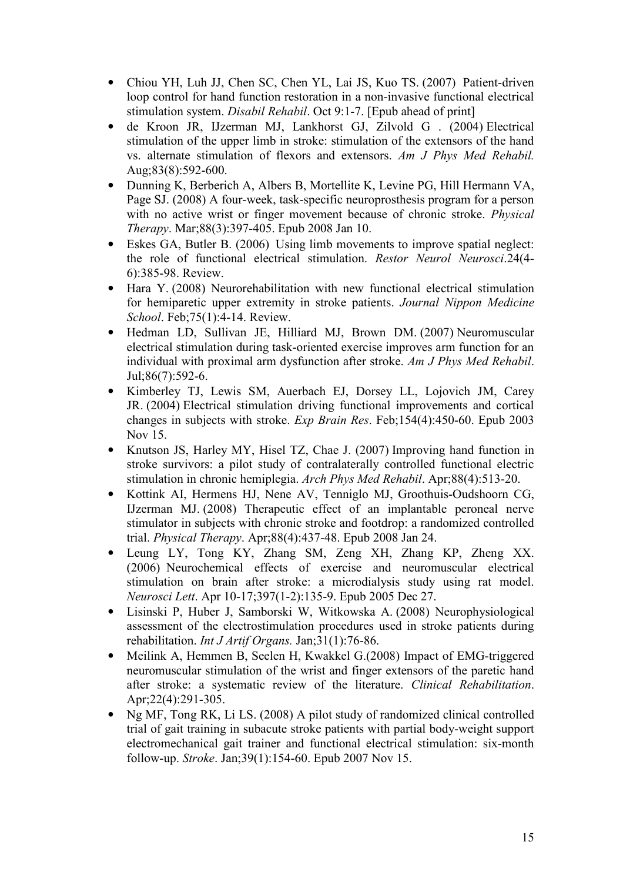- Chiou YH, Luh JJ, Chen SC, Chen YL, Lai JS, Kuo TS. (2007) Patient-driven loop control for hand function restoration in a non-invasive functional electrical stimulation system. Disabil Rehabil. Oct 9:1-7. [Epub ahead of print]
- de Kroon JR, IJzerman MJ, Lankhorst GJ, Zilvold G . (2004) Electrical stimulation of the upper limb in stroke: stimulation of the extensors of the hand vs. alternate stimulation of flexors and extensors. Am J Phys Med Rehabil. Aug;83(8):592-600.
- Dunning K, Berberich A, Albers B, Mortellite K, Levine PG, Hill Hermann VA, Page SJ. (2008) A four-week, task-specific neuroprosthesis program for a person with no active wrist or finger movement because of chronic stroke. *Physical* Therapy. Mar;88(3):397-405. Epub 2008 Jan 10.
- Eskes GA, Butler B. (2006) Using limb movements to improve spatial neglect: the role of functional electrical stimulation. Restor Neurol Neurosci.24(4-6):385-98. Review.
- Hara Y. (2008) Neurorehabilitation with new functional electrical stimulation for hemiparetic upper extremity in stroke patients. Journal Nippon Medicine School. Feb; 75(1): 4-14. Review.
- Hedman LD, Sullivan JE, Hilliard MJ, Brown DM. (2007) Neuromuscular electrical stimulation during task-oriented exercise improves arm function for an individual with proximal arm dysfunction after stroke. Am J Phys Med Rehabil. Jul;86(7):592-6.
- Kimberley TJ, Lewis SM, Auerbach EJ, Dorsey LL, Lojovich JM, Carey JR. (2004) Electrical stimulation driving functional improvements and cortical changes in subjects with stroke. Exp Brain Res. Feb;154(4):450-60. Epub 2003 Nov 15.
- Knutson JS, Harley MY, Hisel TZ, Chae J. (2007) Improving hand function in stroke survivors: a pilot study of contralaterally controlled functional electric stimulation in chronic hemiplegia. Arch Phys Med Rehabil. Apr;88(4):513-20.
- Kottink AI, Hermens HJ, Nene AV, Tenniglo MJ, Groothuis-Oudshoorn CG, IJzerman MJ. (2008) Therapeutic effect of an implantable peroneal nerve stimulator in subjects with chronic stroke and footdrop: a randomized controlled trial. Physical Therapy. Apr;88(4):437-48. Epub 2008 Jan 24.
- Leung LY, Tong KY, Zhang SM, Zeng XH, Zhang KP, Zheng XX. (2006) Neurochemical effects of exercise and neuromuscular electrical stimulation on brain after stroke: a microdialysis study using rat model. Neurosci Lett. Apr 10-17;397(1-2):135-9. Epub 2005 Dec 27.
- Lisinski P, Huber J, Samborski W, Witkowska A. (2008) Neurophysiological assessment of the electrostimulation procedures used in stroke patients during rehabilitation. Int J Artif Organs. Jan;31(1):76-86.
- Meilink A, Hemmen B, Seelen H, Kwakkel G.(2008) Impact of EMG-triggered neuromuscular stimulation of the wrist and finger extensors of the paretic hand after stroke: a systematic review of the literature. Clinical Rehabilitation. Apr;22(4):291-305.
- Ng MF, Tong RK, Li LS. (2008) A pilot study of randomized clinical controlled trial of gait training in subacute stroke patients with partial body-weight support electromechanical gait trainer and functional electrical stimulation: six-month follow-up. Stroke. Jan;39(1):154-60. Epub 2007 Nov 15.